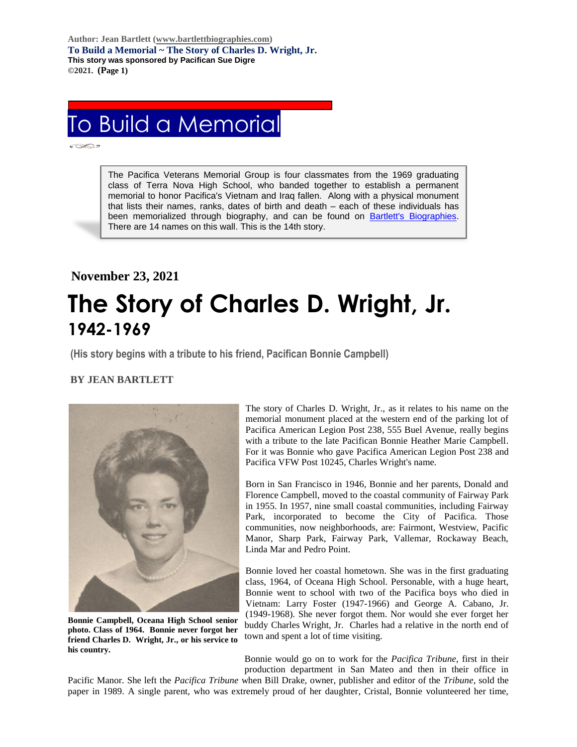**Author: Jean Bartlett [\(www.bartlettbiographies.com\)](http://www.bartlettbiographies.com/) To Build a Memorial ~ The Story of Charles D. Wright, Jr. This story was sponsored by Pacifican Sue Digre ©2021. (Page 1)**

# To Build a Memorial

Ī

The Pacifica Veterans Memorial Group is four classmates from the 1969 graduating class of Terra Nova High School, who banded together to establish a permanent memorial to honor Pacifica's Vietnam and Iraq fallen. Along with a physical monument that lists their names, ranks, dates of birth and death – each of these individuals has been memorialized through biography, and can be found on [Bartlett's Biographies.](https://www.bartlettbiographies.com/) There are 14 names on this wall. This is the 14th story.

# **November 23, 2021 The Story of Charles D. Wright, Jr. 1942-1969**

**(His story begins with a tribute to his friend, Pacifican Bonnie Campbell)**

# **BY JEAN BARTLETT**

.



**Bonnie Campbell, Oceana High School senior photo. Class of 1964. Bonnie never forgot her friend Charles D. Wright, Jr., or his service to his country.**

The story of Charles D. Wright, Jr., as it relates to his name on the memorial monument placed at the western end of the parking lot of Pacifica American Legion Post 238, 555 Buel Avenue, really begins with a tribute to the late Pacifican Bonnie Heather Marie Campbell. For it was Bonnie who gave Pacifica American Legion Post 238 and Pacifica VFW Post 10245, Charles Wright's name.

Born in San Francisco in 1946, Bonnie and her parents, Donald and Florence Campbell, moved to the coastal community of Fairway Park in 1955. In 1957, nine small coastal communities, including Fairway Park, incorporated to become the City of Pacifica. Those communities, now neighborhoods, are: Fairmont, Westview, Pacific Manor, Sharp Park, Fairway Park, Vallemar, Rockaway Beach, Linda Mar and Pedro Point.

Bonnie loved her coastal hometown. She was in the first graduating class, 1964, of Oceana High School. Personable, with a huge heart, Bonnie went to school with two of the Pacifica boys who died in Vietnam: Larry Foster (1947-1966) and George A. Cabano, Jr. (1949-1968). She never forgot them. Nor would she ever forget her buddy Charles Wright, Jr. Charles had a relative in the north end of town and spent a lot of time visiting.

Bonnie would go on to work for the *Pacifica Tribune*, first in their production department in San Mateo and then in their office in

Pacific Manor. She left the *Pacifica Tribune* when Bill Drake, owner, publisher and editor of the *Tribune*, sold the paper in 1989. A single parent, who was extremely proud of her daughter, Cristal, Bonnie volunteered her time,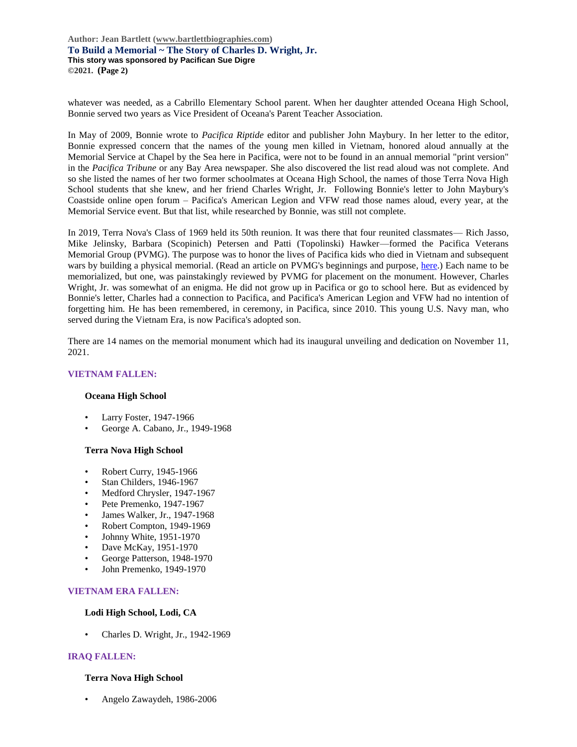**Author: Jean Bartlett [\(www.bartlettbiographies.com\)](http://www.bartlettbiographies.com/) To Build a Memorial ~ The Story of Charles D. Wright, Jr. This story was sponsored by Pacifican Sue Digre ©2021. (Page 2)**

whatever was needed, as a Cabrillo Elementary School parent. When her daughter attended Oceana High School, Bonnie served two years as Vice President of Oceana's Parent Teacher Association.

In May of 2009, Bonnie wrote to *Pacifica Riptide* editor and publisher John Maybury. In her letter to the editor, Bonnie expressed concern that the names of the young men killed in Vietnam, honored aloud annually at the Memorial Service at Chapel by the Sea here in Pacifica, were not to be found in an annual memorial "print version" in the *Pacifica Tribune* or any Bay Area newspaper. She also discovered the list read aloud was not complete. And so she listed the names of her two former schoolmates at Oceana High School, the names of those Terra Nova High School students that she knew, and her friend Charles Wright, Jr. Following Bonnie's letter to John Maybury's Coastside online open forum – Pacifica's American Legion and VFW read those names aloud, every year, at the Memorial Service event. But that list, while researched by Bonnie, was still not complete.

In 2019, Terra Nova's Class of 1969 held its 50th reunion. It was there that four reunited classmates— Rich Jasso, Mike Jelinsky, Barbara (Scopinich) Petersen and Patti (Topolinski) Hawker—formed the Pacifica Veterans Memorial Group (PVMG). The purpose was to honor the lives of Pacifica kids who died in Vietnam and subsequent wars by building a physical memorial. (Read an article on PVMG's beginnings and purpose, [here.](https://46d14119-b42d-469c-887f-083db2a10fe7.filesusr.com/ugd/5ea9c3_694b61f9c88d4750bf1a520233e8f35f.pdf)) Each name to be memorialized, but one, was painstakingly reviewed by PVMG for placement on the monument. However, Charles Wright, Jr. was somewhat of an enigma. He did not grow up in Pacifica or go to school here. But as evidenced by Bonnie's letter, Charles had a connection to Pacifica, and Pacifica's American Legion and VFW had no intention of forgetting him. He has been remembered, in ceremony, in Pacifica, since 2010. This young U.S. Navy man, who served during the Vietnam Era, is now Pacifica's adopted son.

There are 14 names on the memorial monument which had its inaugural unveiling and dedication on November 11, 2021.

### **VIETNAM FALLEN:**

#### **Oceana High School**

- Larry Foster, 1947-1966
- George A. Cabano, Jr., 1949-1968

#### **Terra Nova High School**

- Robert Curry, 1945-1966
- Stan Childers, 1946-1967
- Medford Chrysler, 1947-1967
- Pete Premenko, 1947-1967
- James Walker, Jr., 1947-1968
- Robert Compton, 1949-1969
- Johnny White, 1951-1970
- Dave McKay, 1951-1970
- George Patterson, 1948-1970
- John Premenko, 1949-1970

# **VIETNAM ERA FALLEN:**

#### **Lodi High School, Lodi, CA**

• Charles D. Wright, Jr., 1942-1969

# **IRAQ FALLEN:**

### **Terra Nova High School**

• Angelo Zawaydeh, 1986-2006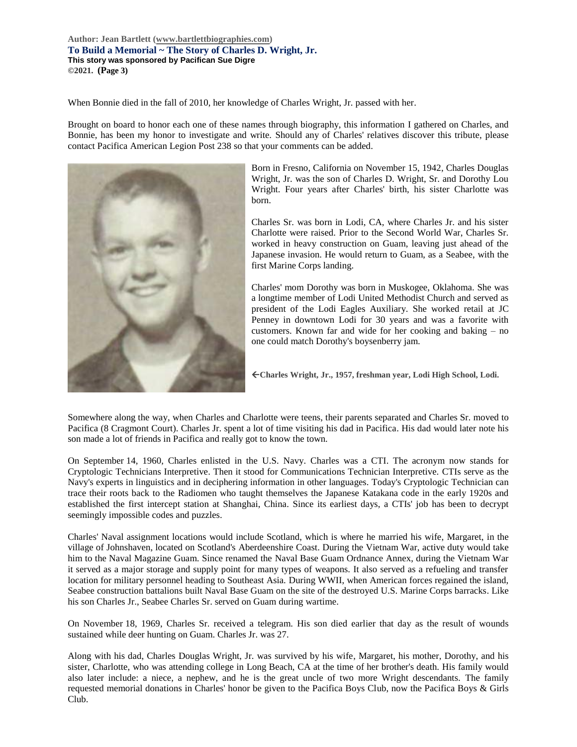**Author: Jean Bartlett [\(www.bartlettbiographies.com\)](http://www.bartlettbiographies.com/) To Build a Memorial ~ The Story of Charles D. Wright, Jr. This story was sponsored by Pacifican Sue Digre ©2021. (Page 3)**

When Bonnie died in the fall of 2010, her knowledge of Charles Wright, Jr. passed with her.

Brought on board to honor each one of these names through biography, this information I gathered on Charles, and Bonnie, has been my honor to investigate and write. Should any of Charles' relatives discover this tribute, please contact Pacifica American Legion Post 238 so that your comments can be added.



Born in Fresno, California on November 15, 1942, Charles Douglas Wright, Jr. was the son of Charles D. Wright, Sr. and Dorothy Lou Wright. Four years after Charles' birth, his sister Charlotte was born.

Charles Sr. was born in Lodi, CA, where Charles Jr. and his sister Charlotte were raised. Prior to the Second World War, Charles Sr. worked in heavy construction on Guam, leaving just ahead of the Japanese invasion. He would return to Guam, as a Seabee, with the first Marine Corps landing.

Charles' mom Dorothy was born in Muskogee, Oklahoma. She was a longtime member of Lodi United Methodist Church and served as president of the Lodi Eagles Auxiliary. She worked retail at JC Penney in downtown Lodi for 30 years and was a favorite with customers. Known far and wide for her cooking and baking – no one could match Dorothy's boysenberry jam.

**Charles Wright, Jr., 1957, freshman year, Lodi High School, Lodi.**

Somewhere along the way, when Charles and Charlotte were teens, their parents separated and Charles Sr. moved to Pacifica (8 Cragmont Court). Charles Jr. spent a lot of time visiting his dad in Pacifica. His dad would later note his son made a lot of friends in Pacifica and really got to know the town.

On September 14, 1960, Charles enlisted in the U.S. Navy. Charles was a CTI. The acronym now stands for Cryptologic Technicians Interpretive. Then it stood for Communications Technician Interpretive. CTIs serve as the Navy's experts in linguistics and in deciphering information in other languages. Today's Cryptologic Technician can trace their roots back to the Radiomen who taught themselves the Japanese Katakana code in the early 1920s and established the first intercept station at Shanghai, China. Since its earliest days, a CTIs' job has been to decrypt seemingly impossible codes and puzzles.

Charles' Naval assignment locations would include Scotland, which is where he married his wife, Margaret, in the village of Johnshaven, located on Scotland's Aberdeenshire Coast. During the Vietnam War, active duty would take him to the Naval Magazine Guam. Since renamed the Naval Base Guam Ordnance Annex, during the Vietnam War it served as a major storage and supply point for many types of weapons. It also served as a refueling and transfer location for military personnel heading to Southeast Asia. During WWII, when American forces regained the island, Seabee construction battalions built Naval Base Guam on the site of the destroyed U.S. Marine Corps barracks. Like his son Charles Jr., Seabee Charles Sr. served on Guam during wartime.

On November 18, 1969, Charles Sr. received a telegram. His son died earlier that day as the result of wounds sustained while deer hunting on Guam. Charles Jr. was 27.

Along with his dad, Charles Douglas Wright, Jr. was survived by his wife, Margaret, his mother, Dorothy, and his sister, Charlotte, who was attending college in Long Beach, CA at the time of her brother's death. His family would also later include: a niece, a nephew, and he is the great uncle of two more Wright descendants. The family requested memorial donations in Charles' honor be given to the Pacifica Boys Club, now the Pacifica Boys & Girls Club.